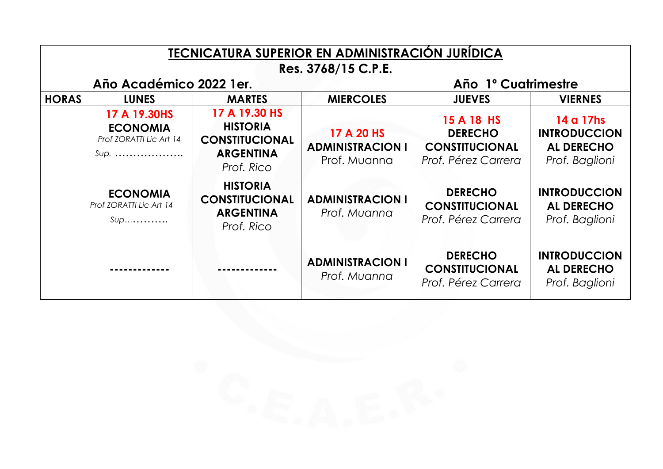| TECNICATURA SUPERIOR EN ADMINISTRACIÓN JURÍDICA                        |                                                                      |                                                                                             |                                                       |                                                                              |                                                                         |  |  |  |  |
|------------------------------------------------------------------------|----------------------------------------------------------------------|---------------------------------------------------------------------------------------------|-------------------------------------------------------|------------------------------------------------------------------------------|-------------------------------------------------------------------------|--|--|--|--|
| Res. 3768/15 C.P.E.<br>Año Académico 2022 1 er.<br>Año 1º Cuatrimestre |                                                                      |                                                                                             |                                                       |                                                                              |                                                                         |  |  |  |  |
| <b>HORAS</b>                                                           | <b>LUNES</b><br><b>MARTES</b>                                        |                                                                                             | <b>MIERCOLES</b><br><b>JUEVES</b>                     |                                                                              | <b>VIERNES</b>                                                          |  |  |  |  |
|                                                                        | 17 A 19.30HS<br><b>ECONOMIA</b><br>Prof ZORATTI Lic Art 14<br>$Sup.$ | 17 A 19.30 HS<br><b>HISTORIA</b><br><b>CONSTITUCIONAL</b><br><b>ARGENTINA</b><br>Prof. Rico | 17 A 20 HS<br><b>ADMINISTRACION I</b><br>Prof. Muanna | 15 A 18 HS<br><b>DERECHO</b><br><b>CONSTITUCIONAL</b><br>Prof. Pérez Carrera | 14 a 17hs<br><b>INTRODUCCION</b><br><b>AL DERECHO</b><br>Prof. Baglioni |  |  |  |  |
|                                                                        | <b>ECONOMIA</b><br>Prof ZORATTI Lic Art 14<br>$Sup$                  | <b>HISTORIA</b><br><b>CONSTITUCIONAL</b><br><b>ARGENTINA</b><br>Prof. Rico                  | <b>ADMINISTRACION I</b><br>Prof. Muanna               | <b>DERECHO</b><br><b>CONSTITUCIONAL</b><br>Prof. Pérez Carrera               | <b>INTRODUCCION</b><br><b>AL DERECHO</b><br>Prof. Baglioni              |  |  |  |  |
|                                                                        |                                                                      |                                                                                             | <b>ADMINISTRACION I</b><br>Prof. Muanna               | <b>DERECHO</b><br><b>CONSTITUCIONAL</b><br>Prof. Pérez Carrera               | <b>INTRODUCCION</b><br><b>AL DERECHO</b><br>Prof. Baglioni              |  |  |  |  |

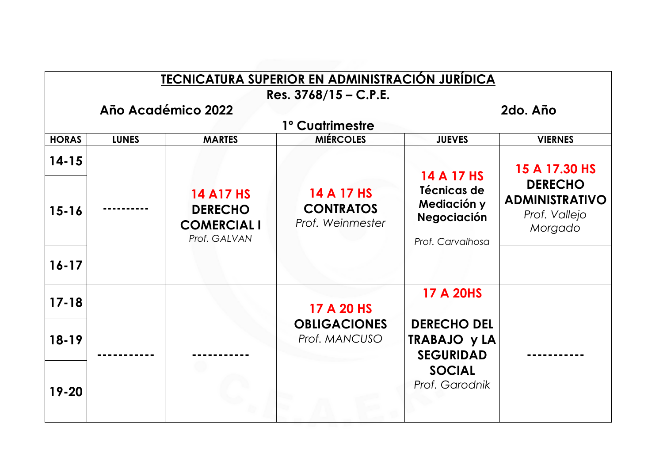| <b>TECNICATURA SUPERIOR EN ADMINISTRACIÓN JURÍDICA</b>    |              |                                                                          |                                                    |                                                                                                  |                                                                     |  |  |  |  |
|-----------------------------------------------------------|--------------|--------------------------------------------------------------------------|----------------------------------------------------|--------------------------------------------------------------------------------------------------|---------------------------------------------------------------------|--|--|--|--|
| Res. $3768/15 - C.P.E.$<br>Año Académico 2022<br>2do. Año |              |                                                                          |                                                    |                                                                                                  |                                                                     |  |  |  |  |
| 1º Cuatrimestre                                           |              |                                                                          |                                                    |                                                                                                  |                                                                     |  |  |  |  |
| <b>HORAS</b>                                              | <b>LUNES</b> | <b>MARTES</b>                                                            | <b>MIÉRCOLES</b>                                   | <b>JUEVES</b>                                                                                    | <b>VIERNES</b>                                                      |  |  |  |  |
| $14 - 15$                                                 |              |                                                                          |                                                    | 14 A 17 HS                                                                                       | 15 A 17.30 HS                                                       |  |  |  |  |
| $15 - 16$                                                 |              | <b>14 A17 HS</b><br><b>DERECHO</b><br><b>COMERCIAL I</b><br>Prof. GALVAN | 14 A 17 HS<br><b>CONTRATOS</b><br>Prof. Weinmester | Técnicas de<br>Mediación y<br>Negociación<br>Prof. Carvalhosa                                    | <b>DERECHO</b><br><b>ADMINISTRATIVO</b><br>Prof. Vallejo<br>Morgado |  |  |  |  |
| $16 - 17$                                                 |              |                                                                          |                                                    |                                                                                                  |                                                                     |  |  |  |  |
| $17 - 18$                                                 |              |                                                                          | 17 A 20 HS<br><b>OBLIGACIONES</b><br>Prof. MANCUSO | <b>17 A 20HS</b>                                                                                 |                                                                     |  |  |  |  |
| $18 - 19$                                                 |              |                                                                          |                                                    | <b>DERECHO DEL</b><br><b>TRABAJO y LA</b><br><b>SEGURIDAD</b><br><b>SOCIAL</b><br>Prof. Garodnik |                                                                     |  |  |  |  |
| 19-20                                                     |              |                                                                          |                                                    |                                                                                                  |                                                                     |  |  |  |  |